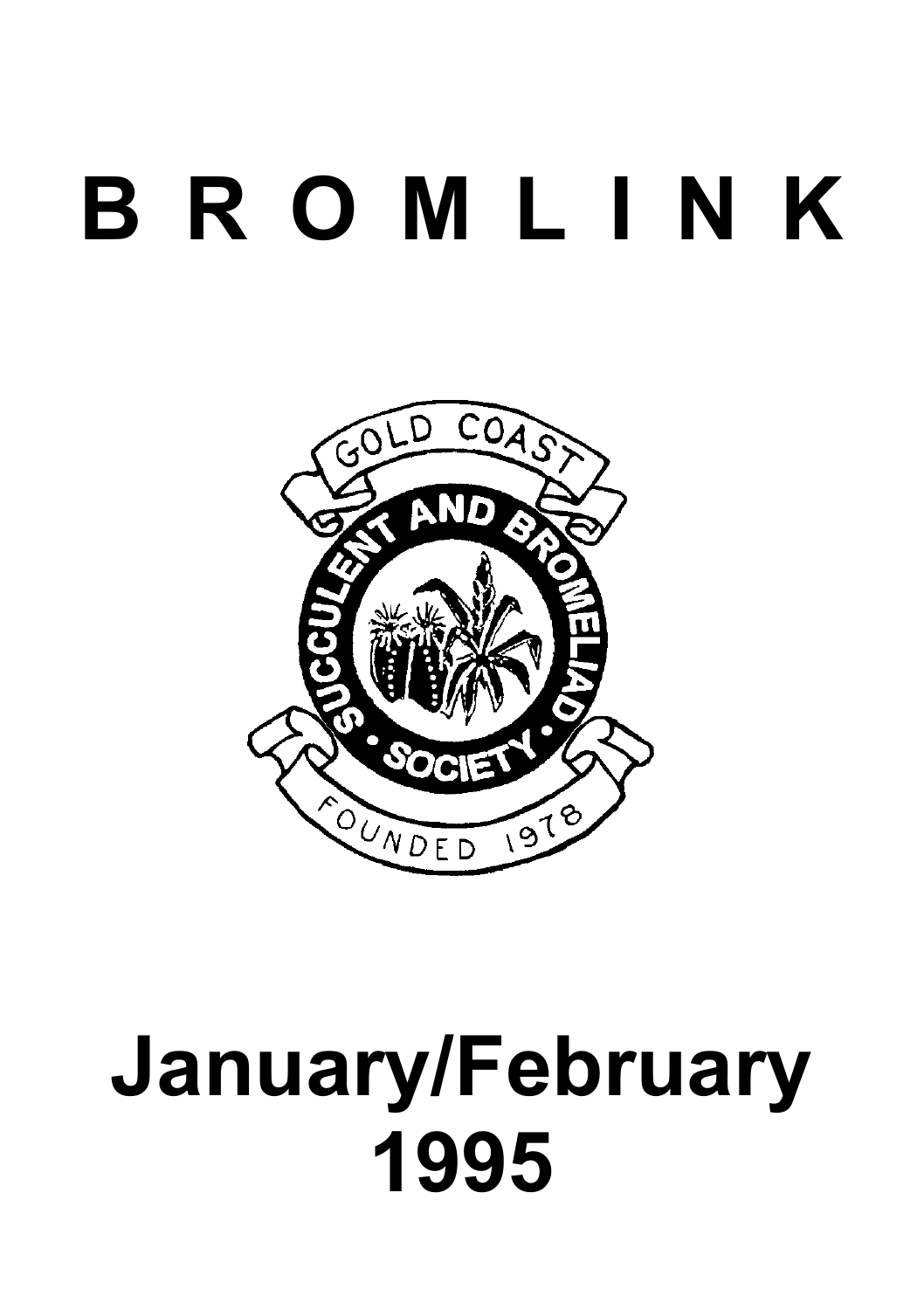# **B R O M L I N K**



# **January/February 1995**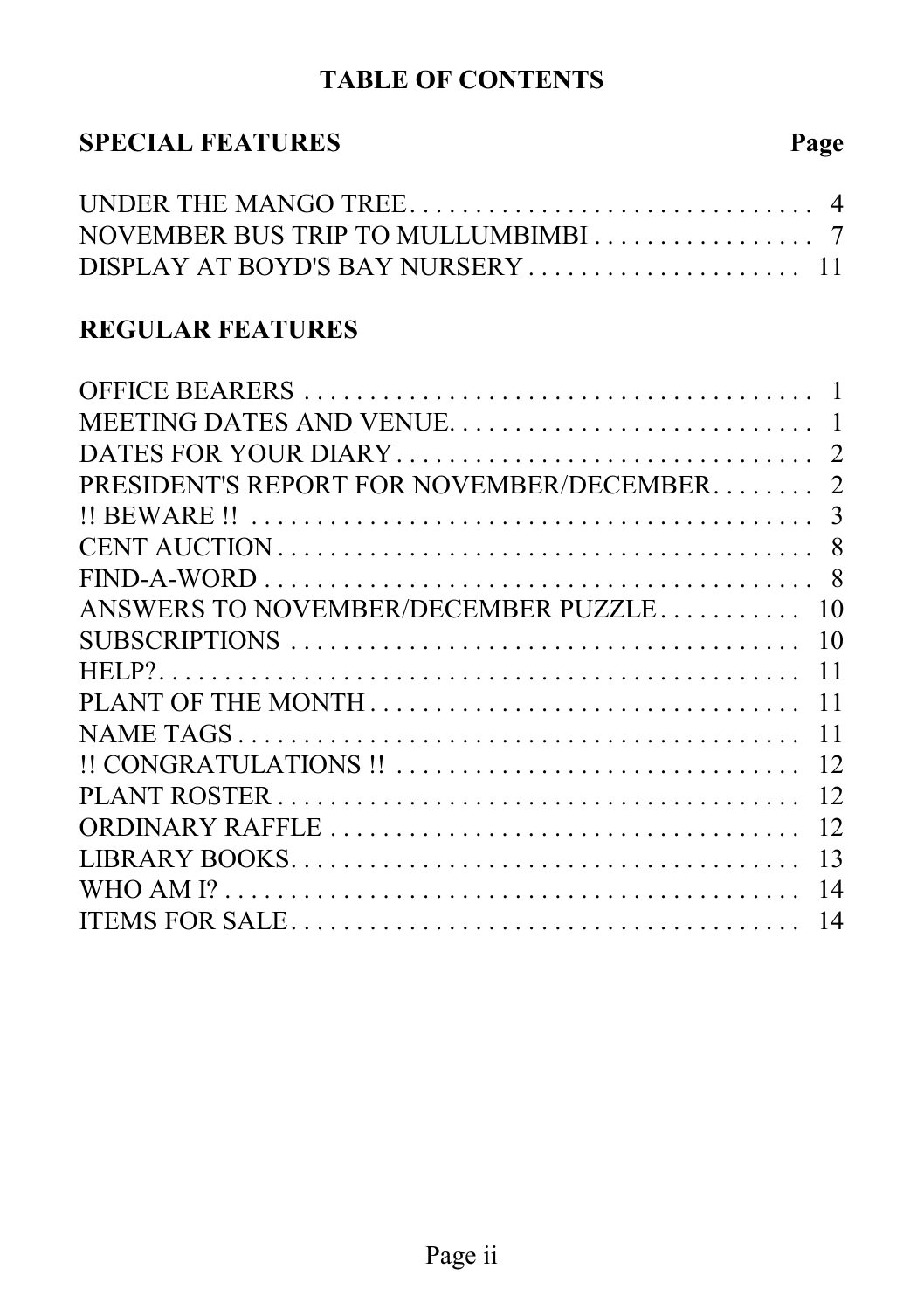# **TABLE OF CONTENTS**

## **SPECIAL FEATURES Page**

| NOVEMBER BUS TRIP TO MULLUMBIMBI 7 |  |
|------------------------------------|--|
| DISPLAY AT BOYD'S BAY NURSERY 11   |  |

#### **REGULAR FEATURES**

| PRESIDENT'S REPORT FOR NOVEMBER/DECEMBER | $\overline{2}$ |
|------------------------------------------|----------------|
|                                          | 3              |
|                                          |                |
|                                          |                |
| ANSWERS TO NOVEMBER/DECEMBER PUZZLE      | 10             |
|                                          | 10             |
|                                          | 11             |
| PLANT OF THE MONTH                       | 11             |
|                                          | 11             |
|                                          | 12             |
|                                          | 12             |
|                                          | 12             |
|                                          | 13             |
|                                          | 14             |
|                                          | 14             |
|                                          |                |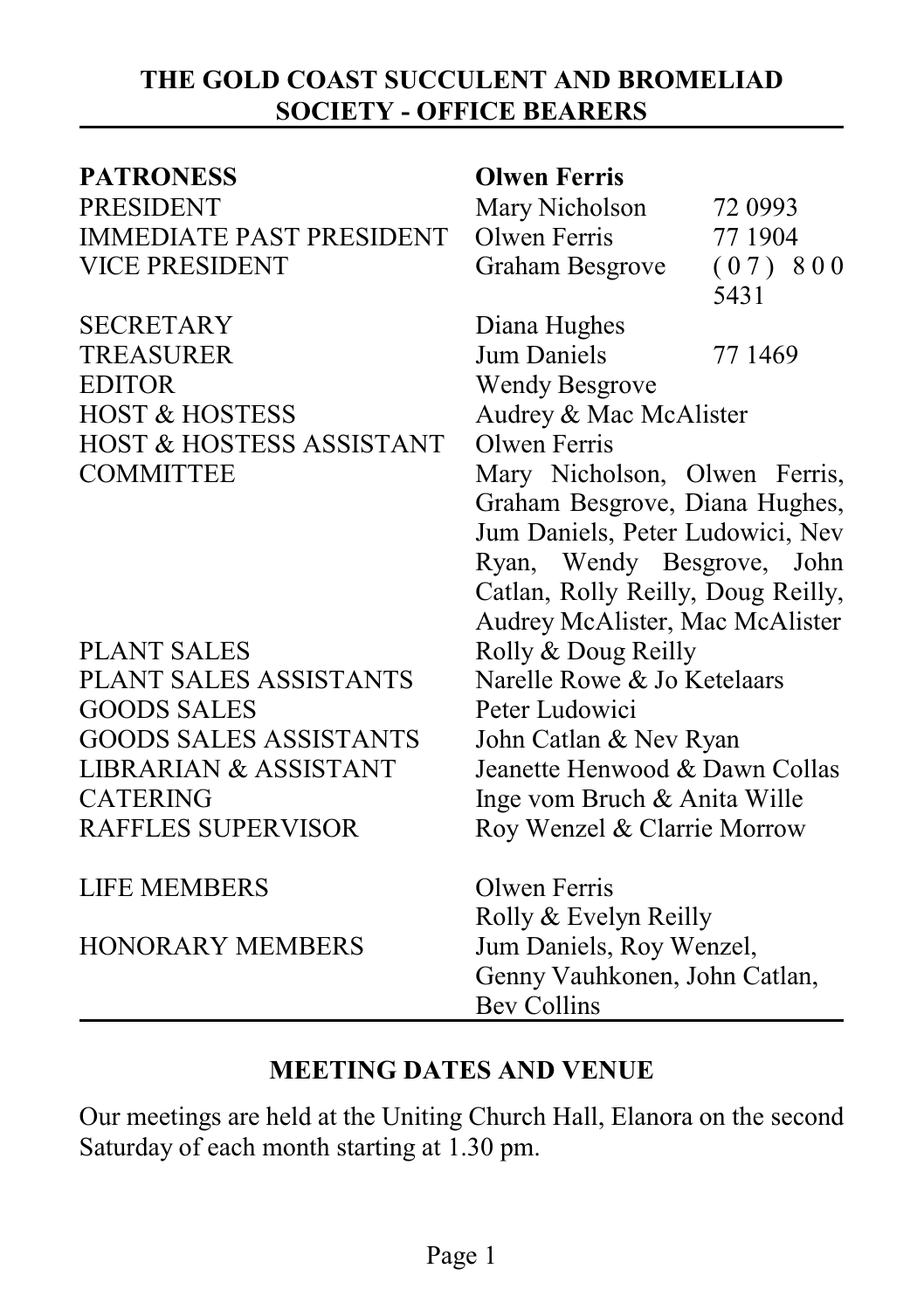#### **THE GOLD COAST SUCCULENT AND BROMELIAD SOCIETY - OFFICE BEARERS**

| <b>PATRONESS</b>                 | <b>Olwen Ferris</b>                |         |
|----------------------------------|------------------------------------|---------|
| <b>PRESIDENT</b>                 | Mary Nicholson                     | 72 0993 |
| <b>IMMEDIATE PAST PRESIDENT</b>  | <b>Olwen Ferris</b>                | 77 1904 |
| <b>VICE PRESIDENT</b>            | Graham Besgrove                    | (07)800 |
|                                  |                                    | 5431    |
| <b>SECRETARY</b>                 | Diana Hughes                       |         |
| <b>TREASURER</b>                 | <b>Jum Daniels</b>                 | 77 1469 |
| <b>EDITOR</b>                    | <b>Wendy Besgrove</b>              |         |
| <b>HOST &amp; HOSTESS</b>        | Audrey & Mac McAlister             |         |
| HOST & HOSTESS ASSISTANT         | Olwen Ferris                       |         |
| <b>COMMITTEE</b>                 | Mary Nicholson, Olwen Ferris,      |         |
|                                  | Graham Besgrove, Diana Hughes,     |         |
|                                  | Jum Daniels, Peter Ludowici, Nev   |         |
|                                  | Ryan, Wendy Besgrove, John         |         |
|                                  | Catlan, Rolly Reilly, Doug Reilly, |         |
|                                  | Audrey McAlister, Mac McAlister    |         |
| <b>PLANT SALES</b>               | Rolly & Doug Reilly                |         |
| PLANT SALES ASSISTANTS           | Narelle Rowe & Jo Ketelaars        |         |
| <b>GOODS SALES</b>               | Peter Ludowici                     |         |
| <b>GOODS SALES ASSISTANTS</b>    | John Catlan & Nev Ryan             |         |
| <b>LIBRARIAN &amp; ASSISTANT</b> | Jeanette Henwood & Dawn Collas     |         |
| <b>CATERING</b>                  | Inge vom Bruch & Anita Wille       |         |
| RAFFLES SUPERVISOR               | Roy Wenzel & Clarrie Morrow        |         |
| <b>LIFE MEMBERS</b>              | Olwen Ferris                       |         |
|                                  | Rolly & Evelyn Reilly              |         |
| <b>HONORARY MEMBERS</b>          | Jum Daniels, Roy Wenzel,           |         |
|                                  | Genny Vauhkonen, John Catlan,      |         |
|                                  | <b>Bev Collins</b>                 |         |

#### **MEETING DATES AND VENUE**

Our meetings are held at the Uniting Church Hall, Elanora on the second Saturday of each month starting at 1.30 pm.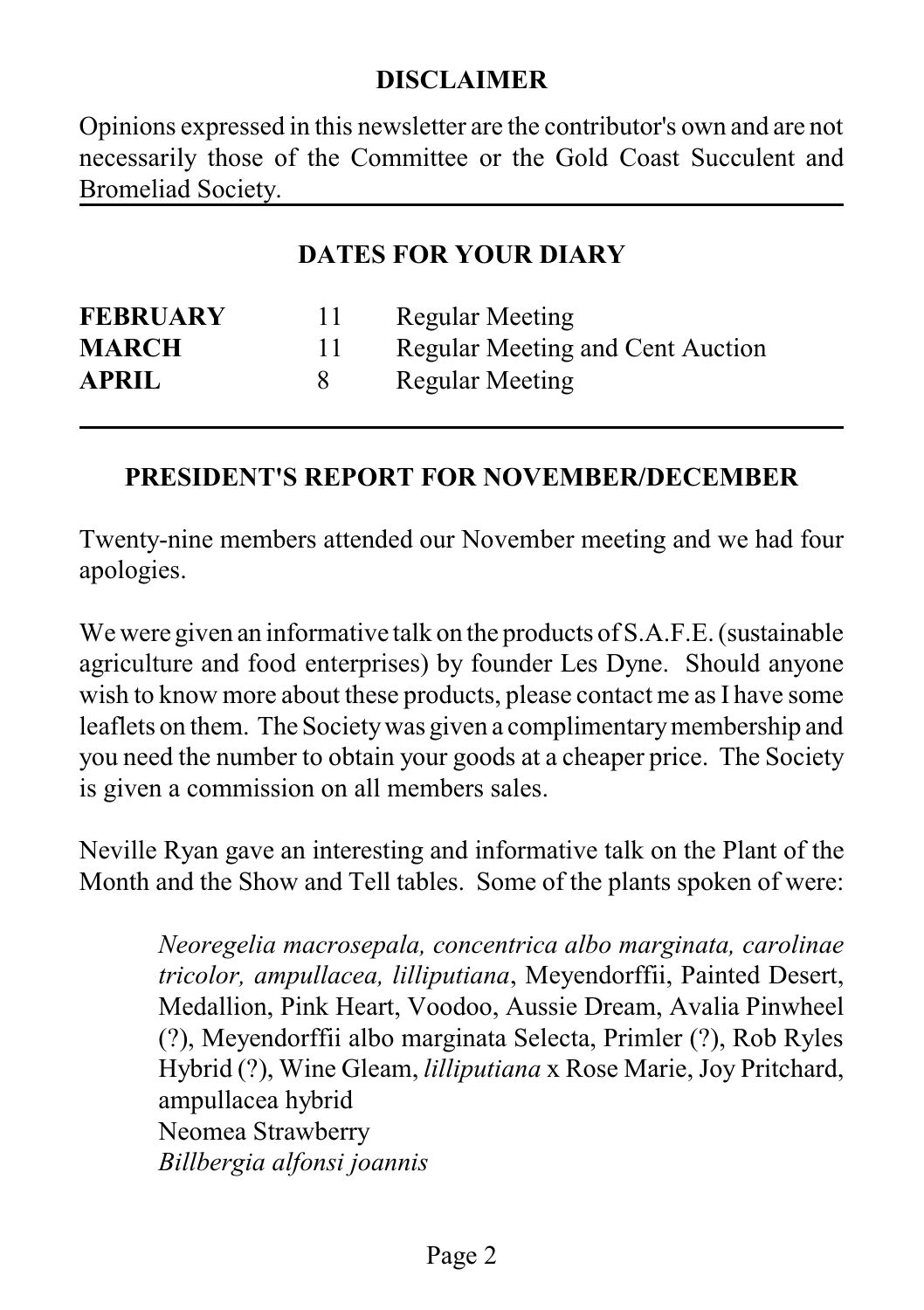#### **DISCLAIMER**

Opinions expressed in this newsletter are the contributor's own and are not necessarily those of the Committee or the Gold Coast Succulent and Bromeliad Society.

#### **DATES FOR YOUR DIARY**

| 11 | Regular Meeting                  |
|----|----------------------------------|
|    | Regular Meeting and Cent Auction |
|    | <b>Regular Meeting</b>           |
|    |                                  |

#### **PRESIDENT'S REPORT FOR NOVEMBER/DECEMBER**

Twenty-nine members attended our November meeting and we had four apologies.

We were given an informative talk on the products of S.A.F.E. (sustainable agriculture and food enterprises) by founder Les Dyne. Should anyone wish to know more about these products, please contact me as I have some leaflets on them. The Societywas given a complimentarymembership and you need the number to obtain your goods at a cheaper price. The Society is given a commission on all members sales.

Neville Ryan gave an interesting and informative talk on the Plant of the Month and the Show and Tell tables. Some of the plants spoken of were:

> *Neoregelia macrosepala, concentrica albo marginata, carolinae tricolor, ampullacea, lilliputiana*, Meyendorffii, Painted Desert, Medallion, Pink Heart, Voodoo, Aussie Dream, Avalia Pinwheel (?), Meyendorffii albo marginata Selecta, Primler (?), Rob Ryles Hybrid (?), Wine Gleam, *lilliputiana* x Rose Marie, Joy Pritchard, ampullacea hybrid Neomea Strawberry *Billbergia alfonsi joannis*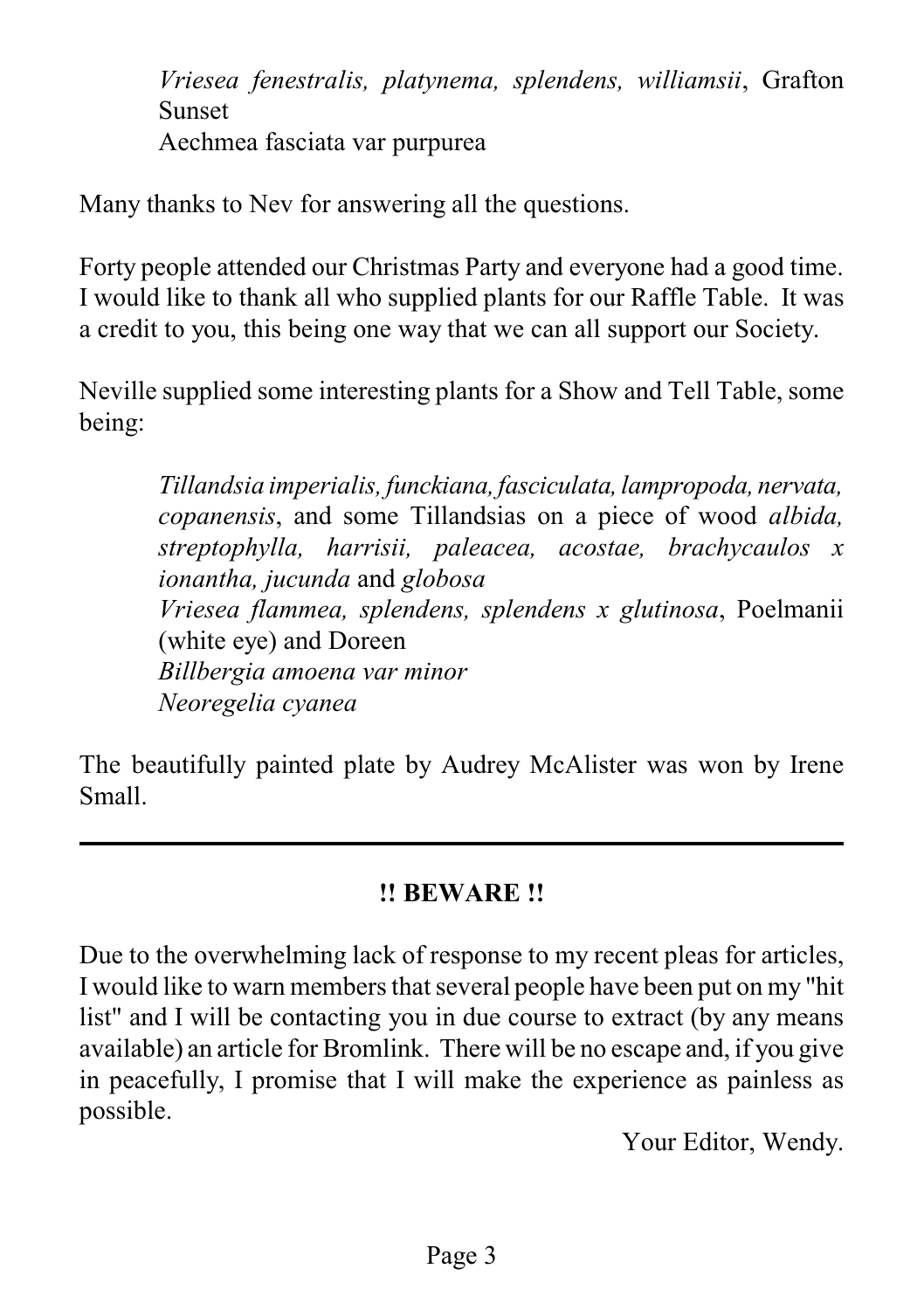*Vriesea fenestralis, platynema, splendens, williamsii*, Grafton Sunset Aechmea fasciata var purpurea

Many thanks to Nev for answering all the questions.

Forty people attended our Christmas Party and everyone had a good time. I would like to thank all who supplied plants for our Raffle Table. It was a credit to you, this being one way that we can all support our Society.

Neville supplied some interesting plants for a Show and Tell Table, some being:

> *Tillandsia imperialis, funckiana, fasciculata, lampropoda, nervata, copanensis*, and some Tillandsias on a piece of wood *albida, streptophylla, harrisii, paleacea, acostae, brachycaulos x ionantha, jucunda* and *globosa Vriesea flammea, splendens, splendens x glutinosa*, Poelmanii (white eye) and Doreen *Billbergia amoena var minor Neoregelia cyanea*

The beautifully painted plate by Audrey McAlister was won by Irene Small.

#### **!! BEWARE !!**

Due to the overwhelming lack of response to my recent pleas for articles, I would like to warn members that several people have been put on my "hit list" and I will be contacting you in due course to extract (by any means available) an article for Bromlink. There will be no escape and, if you give in peacefully, I promise that I will make the experience as painless as possible.

Your Editor, Wendy.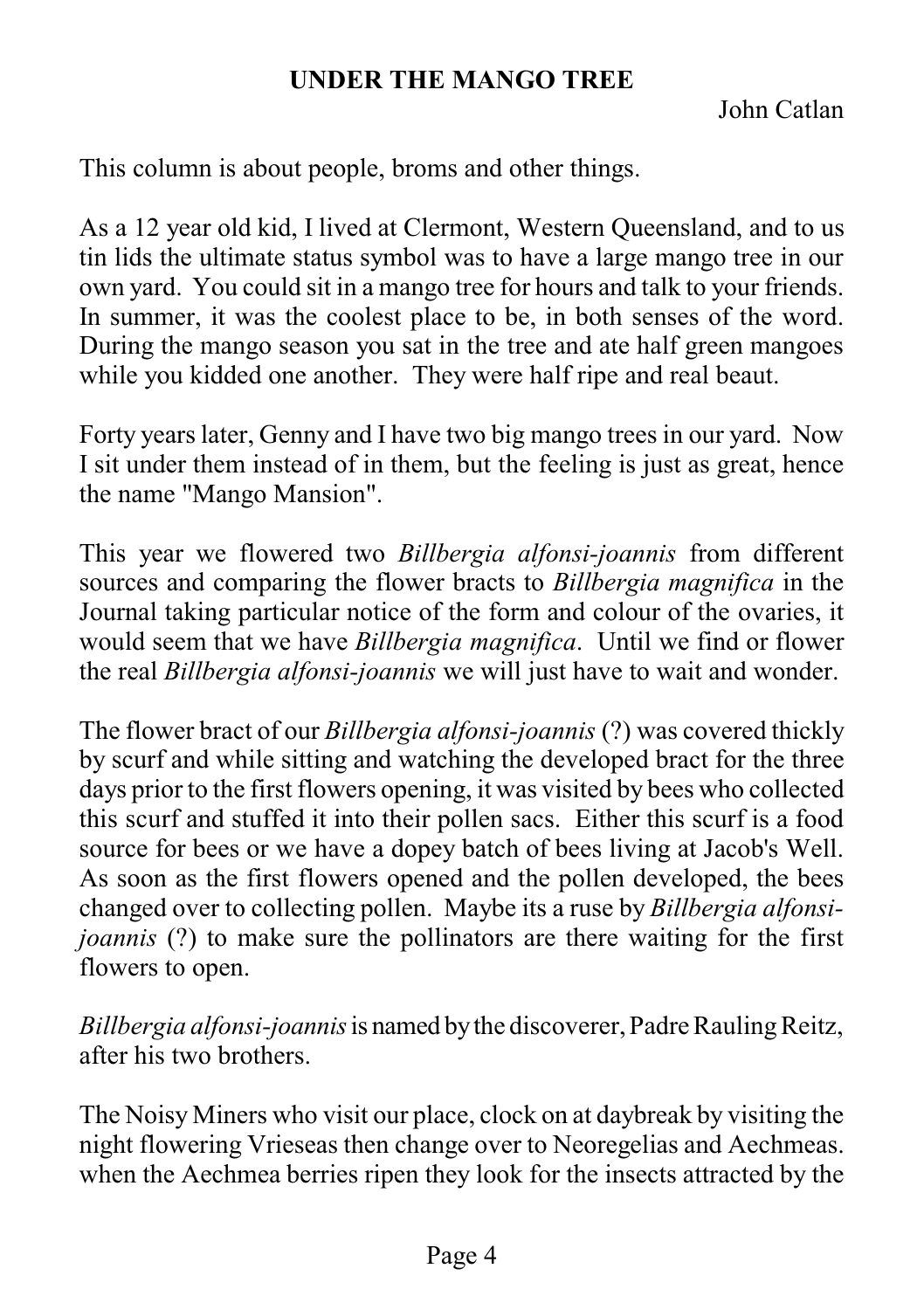#### **UNDER THE MANGO TREE**

John Catlan

This column is about people, broms and other things.

As a 12 year old kid, I lived at Clermont, Western Queensland, and to us tin lids the ultimate status symbol was to have a large mango tree in our own yard. You could sit in a mango tree for hours and talk to your friends. In summer, it was the coolest place to be, in both senses of the word. During the mango season you sat in the tree and ate half green mangoes while you kidded one another. They were half ripe and real beaut.

Forty years later, Genny and I have two big mango trees in our yard. Now I sit under them instead of in them, but the feeling is just as great, hence the name "Mango Mansion".

This year we flowered two *Billbergia alfonsi-joannis* from different sources and comparing the flower bracts to *Billbergia magnifica* in the Journal taking particular notice of the form and colour of the ovaries, it would seem that we have *Billbergia magnifica*. Until we find or flower the real *Billbergia alfonsi-joannis* we will just have to wait and wonder.

The flower bract of our *Billbergia alfonsi-joannis* (?) was covered thickly by scurf and while sitting and watching the developed bract for the three days prior to the first flowers opening, it was visited by bees who collected this scurf and stuffed it into their pollen sacs. Either this scurf is a food source for bees or we have a dopey batch of bees living at Jacob's Well. As soon as the first flowers opened and the pollen developed, the bees changed over to collecting pollen. Maybe its a ruse by *Billbergia alfonsijoannis* (?) to make sure the pollinators are there waiting for the first flowers to open.

*Billbergia alfonsi-joannis*is named bythe discoverer, Padre RaulingReitz, after his two brothers.

The Noisy Miners who visit our place, clock on at daybreak by visiting the night flowering Vrieseas then change over to Neoregelias and Aechmeas. when the Aechmea berries ripen they look for the insects attracted by the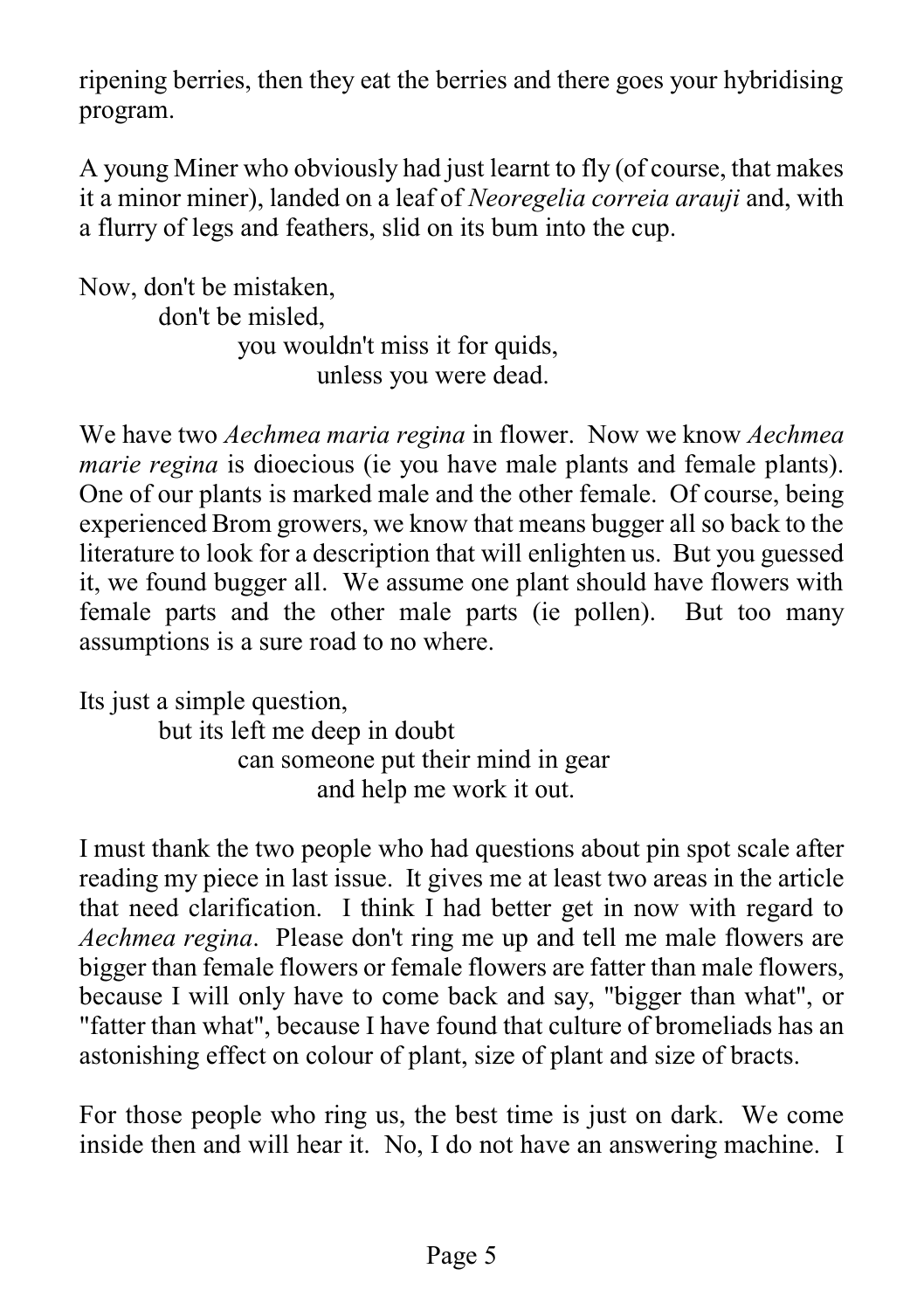ripening berries, then they eat the berries and there goes your hybridising program.

A young Miner who obviously had just learnt to fly (of course, that makes it a minor miner), landed on a leaf of *Neoregelia correia arauji* and, with a flurry of legs and feathers, slid on its bum into the cup.

Now, don't be mistaken, don't be misled, you wouldn't miss it for quids, unless you were dead.

We have two *Aechmea maria regina* in flower. Now we know *Aechmea marie regina* is dioecious (ie you have male plants and female plants). One of our plants is marked male and the other female. Of course, being experienced Brom growers, we know that means bugger all so back to the literature to look for a description that will enlighten us. But you guessed it, we found bugger all. We assume one plant should have flowers with female parts and the other male parts (ie pollen). But too many assumptions is a sure road to no where.

Its just a simple question, but its left me deep in doubt can someone put their mind in gear and help me work it out.

I must thank the two people who had questions about pin spot scale after reading my piece in last issue. It gives me at least two areas in the article that need clarification. I think I had better get in now with regard to *Aechmea regina*. Please don't ring me up and tell me male flowers are bigger than female flowers or female flowers are fatter than male flowers, because I will only have to come back and say, "bigger than what", or "fatter than what", because I have found that culture of bromeliads has an astonishing effect on colour of plant, size of plant and size of bracts.

For those people who ring us, the best time is just on dark. We come inside then and will hear it. No, I do not have an answering machine. I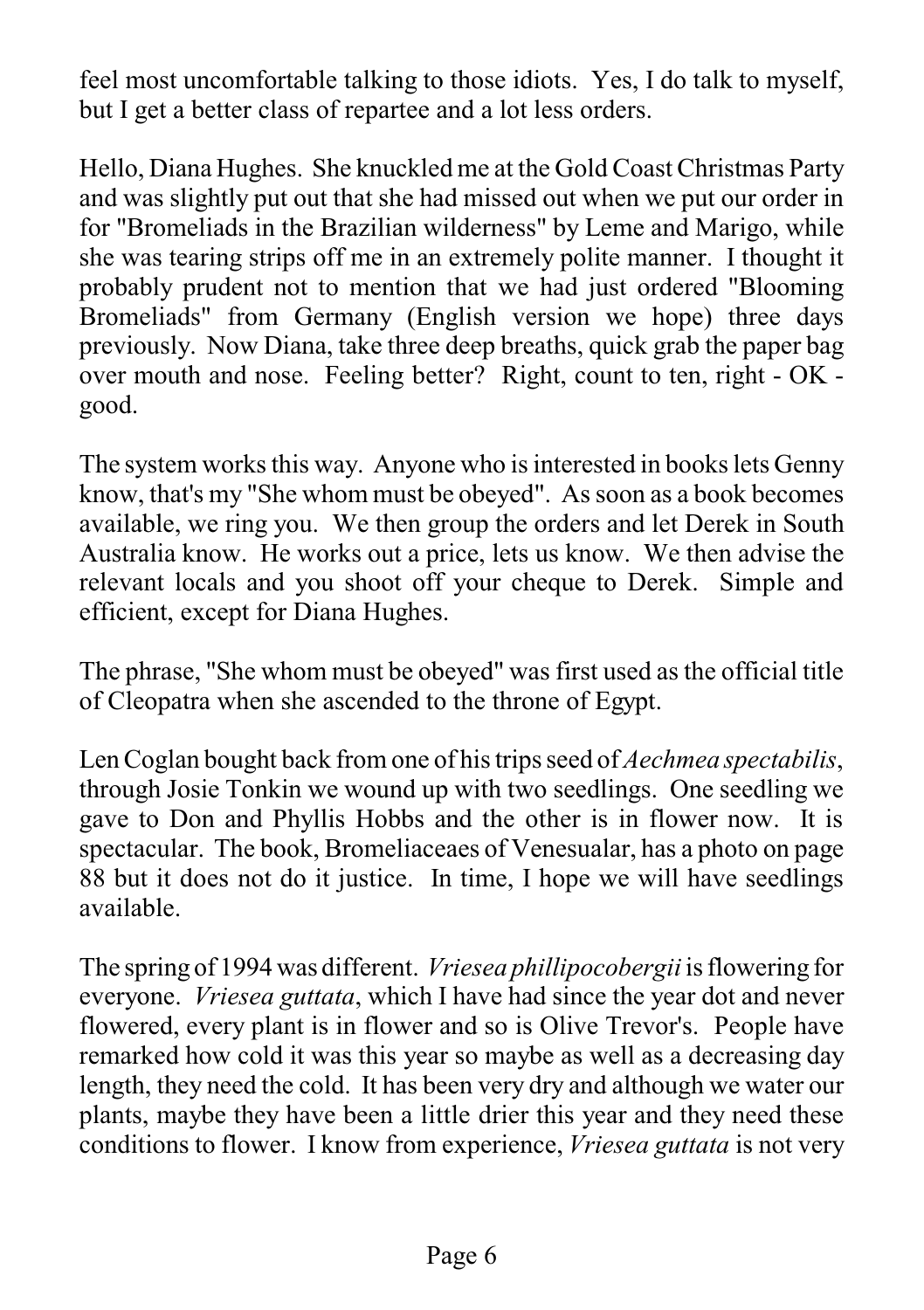feel most uncomfortable talking to those idiots. Yes, I do talk to myself, but I get a better class of repartee and a lot less orders.

Hello, Diana Hughes. She knuckled me at the Gold Coast Christmas Party and was slightly put out that she had missed out when we put our order in for "Bromeliads in the Brazilian wilderness" by Leme and Marigo, while she was tearing strips off me in an extremely polite manner. I thought it probably prudent not to mention that we had just ordered "Blooming Bromeliads" from Germany (English version we hope) three days previously. Now Diana, take three deep breaths, quick grab the paper bag over mouth and nose. Feeling better? Right, count to ten, right - OK good.

The system works this way. Anyone who is interested in books lets Genny know, that's my "She whom must be obeyed". As soon as a book becomes available, we ring you. We then group the orders and let Derek in South Australia know. He works out a price, lets us know. We then advise the relevant locals and you shoot off your cheque to Derek. Simple and efficient, except for Diana Hughes.

The phrase, "She whom must be obeyed" was first used as the official title of Cleopatra when she ascended to the throne of Egypt.

Len Coglan bought back from one of his trips seed of *Aechmea spectabilis*, through Josie Tonkin we wound up with two seedlings. One seedling we gave to Don and Phyllis Hobbs and the other is in flower now. It is spectacular. The book, Bromeliaceaes of Venesualar, has a photo on page 88 but it does not do it justice. In time, I hope we will have seedlings available.

The spring of 1994 was different. *Vriesea phillipocobergii* is flowering for everyone. *Vriesea guttata*, which I have had since the year dot and never flowered, every plant is in flower and so is Olive Trevor's. People have remarked how cold it was this year so maybe as well as a decreasing day length, they need the cold. It has been very dry and although we water our plants, maybe they have been a little drier this year and they need these conditions to flower. I know from experience, *Vriesea guttata* is not very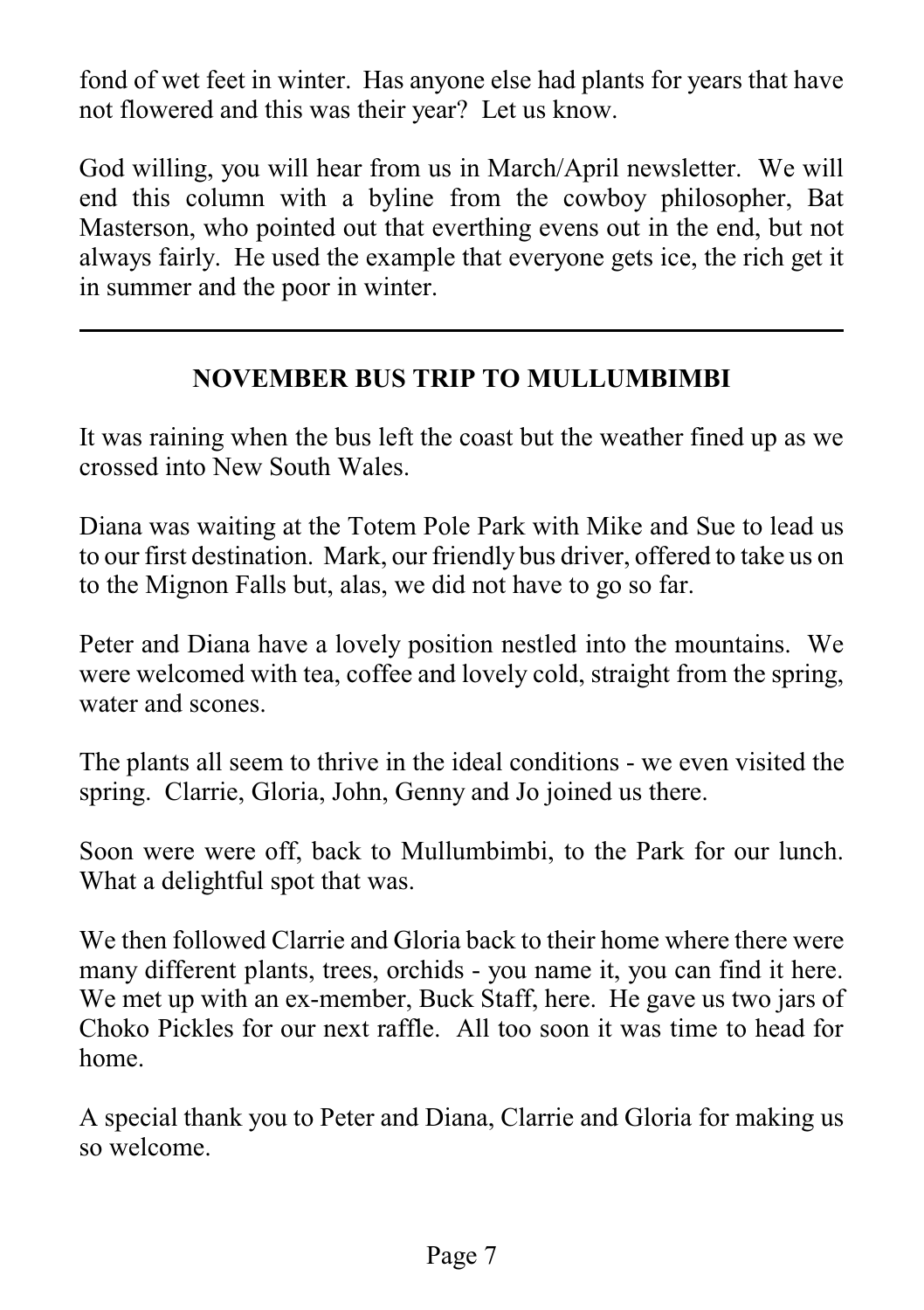fond of wet feet in winter. Has anyone else had plants for years that have not flowered and this was their year? Let us know.

God willing, you will hear from us in March/April newsletter. We will end this column with a byline from the cowboy philosopher, Bat Masterson, who pointed out that everthing evens out in the end, but not always fairly. He used the example that everyone gets ice, the rich get it in summer and the poor in winter.

#### **NOVEMBER BUS TRIP TO MULLUMBIMBI**

It was raining when the bus left the coast but the weather fined up as we crossed into New South Wales.

Diana was waiting at the Totem Pole Park with Mike and Sue to lead us to our first destination. Mark, our friendly bus driver, offered to take us on to the Mignon Falls but, alas, we did not have to go so far.

Peter and Diana have a lovely position nestled into the mountains. We were welcomed with tea, coffee and lovely cold, straight from the spring, water and scones.

The plants all seem to thrive in the ideal conditions - we even visited the spring. Clarrie, Gloria, John, Genny and Jo joined us there.

Soon were were off, back to Mullumbimbi, to the Park for our lunch. What a delightful spot that was.

We then followed Clarrie and Gloria back to their home where there were many different plants, trees, orchids - you name it, you can find it here. We met up with an ex-member, Buck Staff, here. He gave us two jars of Choko Pickles for our next raffle. All too soon it was time to head for home.

A special thank you to Peter and Diana, Clarrie and Gloria for making us so welcome.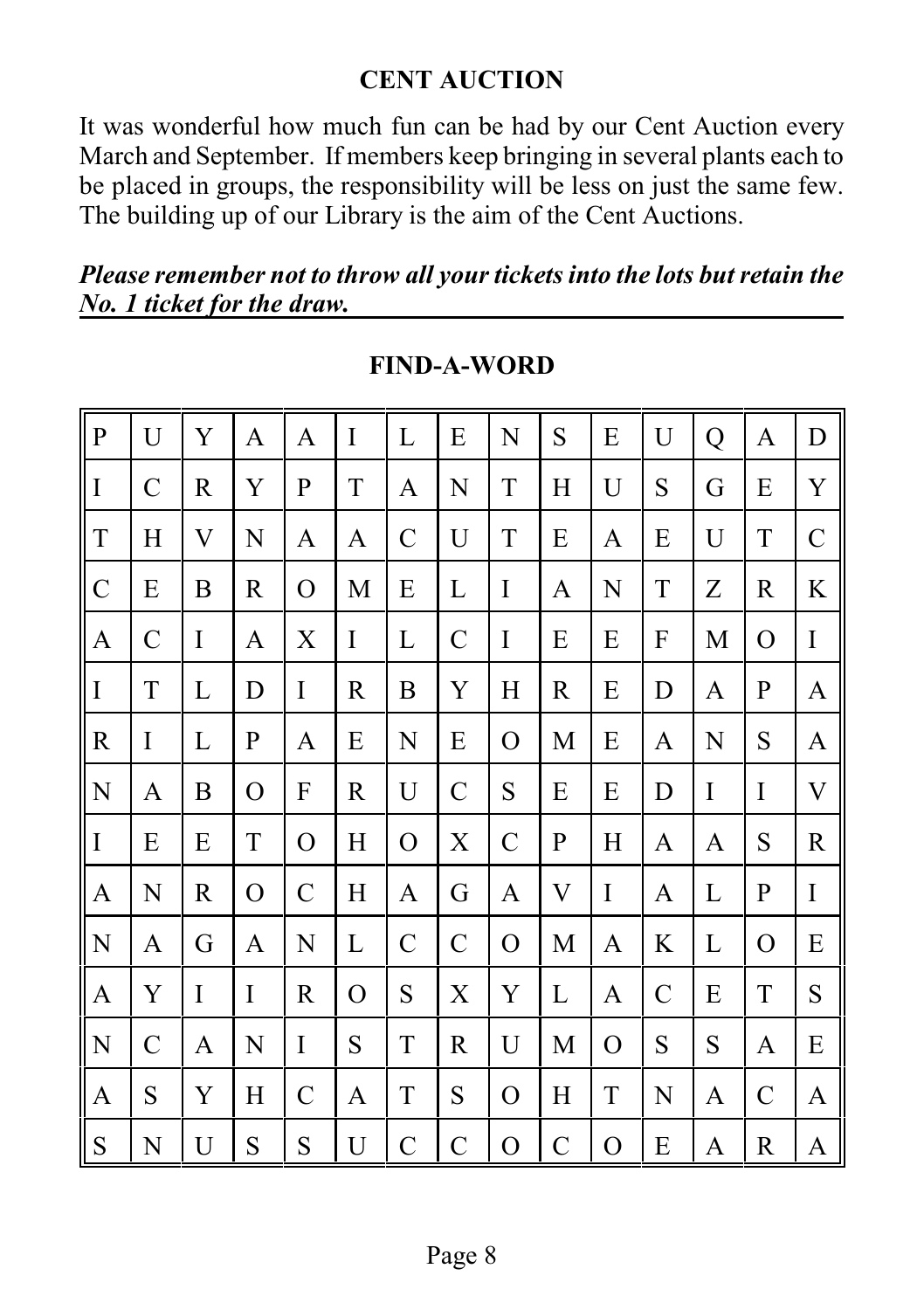#### **CENT AUCTION**

It was wonderful how much fun can be had by our Cent Auction every March and September. If members keep bringing in several plants each to be placed in groups, the responsibility will be less on just the same few. The building up of our Library is the aim of the Cent Auctions.

*Please remember not to throw all your tickets into the lots but retain the No. 1 ticket for the draw.*

| ${\bf P}$     | U             | Y                | $\mathbf{A}$ | A             | $\overline{I}$ | $\mathbf L$   | ${\bf E}$     | N             | S                         | E            | U             | Q           | A             | D             |
|---------------|---------------|------------------|--------------|---------------|----------------|---------------|---------------|---------------|---------------------------|--------------|---------------|-------------|---------------|---------------|
| $\mathbf I$   | $\mathcal{C}$ | $\mathbf R$      | Y            | $\mathbf{P}$  | T              | A             | N             | $\mathbf T$   | H                         | U            | S             | G           | E             | $\mathbf Y$   |
| $\mathbf T$   | H             | V                | $\mathbf N$  | A             | A              | $\mathcal{C}$ | U             | $\mathbf T$   | E                         | A            | ${\bf E}$     | U           | $\mathbf T$   | $\mathcal{C}$ |
| $\mathcal{C}$ | ${\bf E}$     | $\boldsymbol{B}$ | $\mathbf R$  | $\mathbf{O}$  | $\mathbf M$    | ${\bf E}$     | L             | $\bf I$       | A                         | $\mathbf N$  | $\mathbf T$   | Z           | $\mathbf R$   | K             |
| $\mathbf{A}$  | $\mathcal{C}$ | $\mathbf I$      | A            | $\mathbf X$   | $\mathbf I$    | L             | $\mathcal{C}$ | $\rm I$       | E                         | E            | $\mathbf{F}$  | M           | $\mathbf O$   | $\mathbf I$   |
| $\mathbf I$   | $\mathbf T$   | L                | D            | I             | R              | B             | Y             | H             | $\mathbf R$               | E            | D             | A           | ${\bf P}$     | A             |
| $\mathbb{R}$  | $\mathbf I$   | L                | $\mathbf{P}$ | A             | E              | $\mathbf N$   | E             | $\mathbf{O}$  | M                         | E            | A             | ${\bf N}$   | S             | A             |
| N             | A             | B                | $\mathbf O$  | F             | R              | $\mathbf U$   | $\mathcal{C}$ | S             | ${\bf E}$                 | E            | D             | $\mathbf I$ | $\mathbf I$   | $\mathbf{V}$  |
| $\bf I$       | E             | ${\bf E}$        | $\rm T$      | $\mathbf{O}$  | H              | $\mathbf O$   | $\mathbf X$   | $\mathcal{C}$ | $\mathbf{P}$              | $H_{\rm}$    | $\mathbf{A}$  | A           | S             | $\mathbb{R}$  |
| A             | N             | R                | $\mathbf O$  | $\mathcal{C}$ | $H_{\rm}$      | A             | G             | A             | $\boldsymbol{\mathrm{V}}$ | $\mathbf I$  | A             | L           | ${\bf P}$     | $\rm I$       |
| ${\bf N}$     | A             | G                | A            | $\mathbf N$   | L              | $\mathcal{C}$ | $\mathcal{C}$ | $\mathbf{O}$  | M                         | A            | $\rm K$       | L           | $\mathbf O$   | ${\bf E}$     |
| A             | Y             | $\mathbf I$      | $\mathbf I$  | R             | $\overline{O}$ | S             | $\mathbf X$   | Y             | L                         | A            | $\mathcal{C}$ | E           | $\mathbf T$   | ${\bf S}$     |
| ${\bf N}$     | $\mathcal{C}$ | A                | $\mathbf N$  | $\mathbf I$   | S              | T             | $\mathbf R$   | U             | M                         | $\mathbf{O}$ | S             | S           | A             | E             |
| A             | S             | Y                | $H_{\rm}$    | $\mathcal{C}$ | A              | ${\bf T}$     | S             | $\mathbf O$   | H                         | ${\bf T}$    | $\mathbf N$   | A           | $\mathcal{C}$ | A             |
| ${\bf S}$     | N             | U                | S            | S             | U              | $\mathcal{C}$ | $\mathcal{C}$ | $\mathbf{O}$  | $\mathcal{C}$             | $\mathbf O$  | ${\bf E}$     | A           | R             | A             |

**FIND-A-WORD**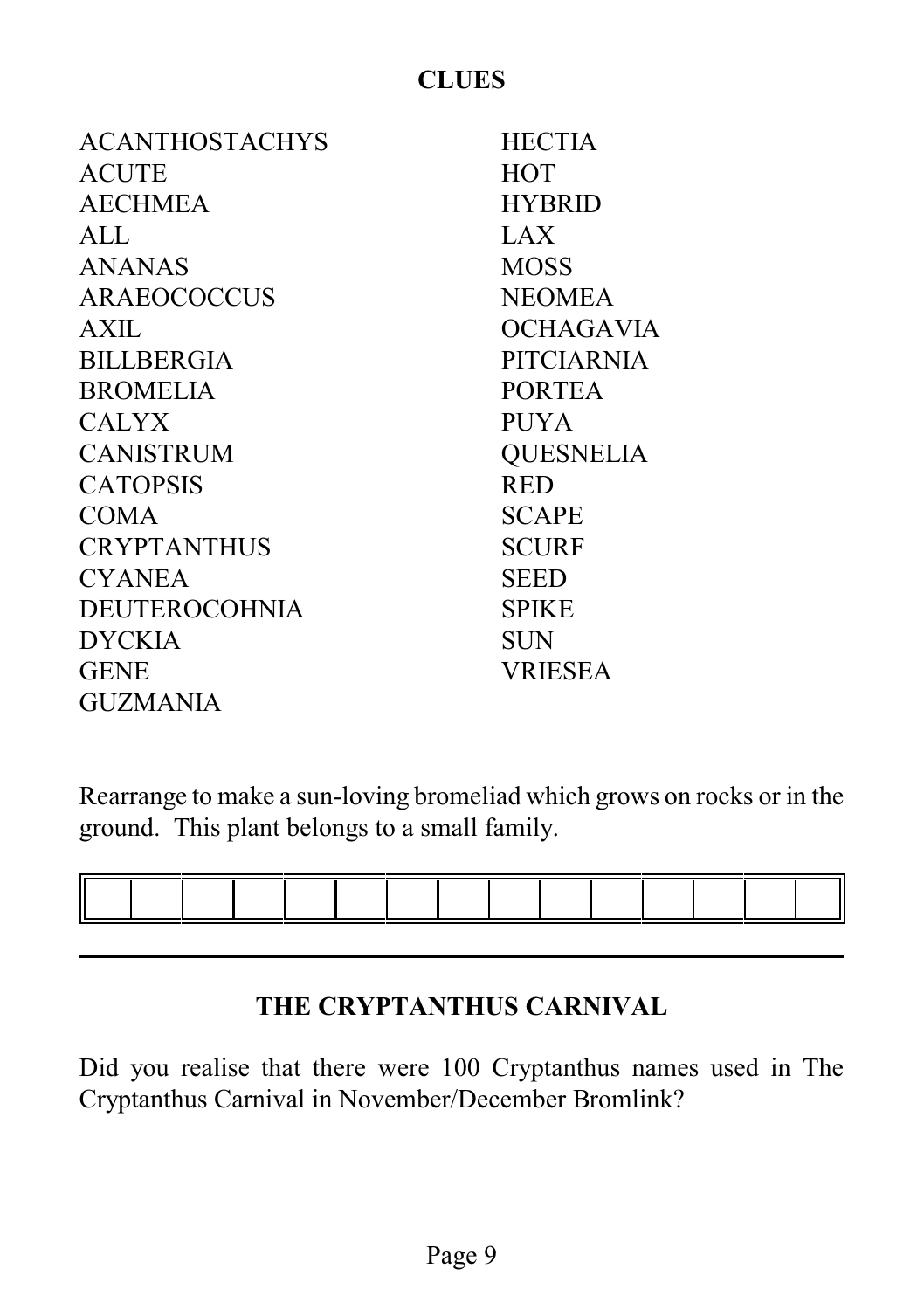#### **CLUES**

| <b>ACANTHOSTACHYS</b> | <b>HECTIA</b>     |
|-----------------------|-------------------|
| ACUTE                 | <b>HOT</b>        |
| <b>AECHMEA</b>        | <b>HYBRID</b>     |
| ALL                   | LAX               |
| ANANAS                | <b>MOSS</b>       |
| <b>ARAEOCOCCUS</b>    | <b>NEOMEA</b>     |
| AXII.                 | OCHAGAVIA         |
| <b>BILLBERGIA</b>     | <b>PITCIARNIA</b> |
| <b>BROMELIA</b>       | <b>PORTEA</b>     |
| <b>CALYX</b>          | <b>PUYA</b>       |
| <b>CANISTRUM</b>      | <b>QUESNELIA</b>  |
| <b>CATOPSIS</b>       | <b>RED</b>        |
| <b>COMA</b>           | <b>SCAPE</b>      |
| <b>CRYPTANTHUS</b>    | <b>SCURF</b>      |
| <b>CYANEA</b>         | SEED              |
| <b>DEUTEROCOHNIA</b>  | <b>SPIKE</b>      |
| <b>DYCKIA</b>         | <b>SUN</b>        |
| <b>GENE</b>           | <b>VRIESEA</b>    |
| <b>GUZMANIA</b>       |                   |

Rearrange to make a sun-loving bromeliad which grows on rocks or in the ground. This plant belongs to a small family.



#### **THE CRYPTANTHUS CARNIVAL**

Did you realise that there were 100 Cryptanthus names used in The Cryptanthus Carnival in November/December Bromlink?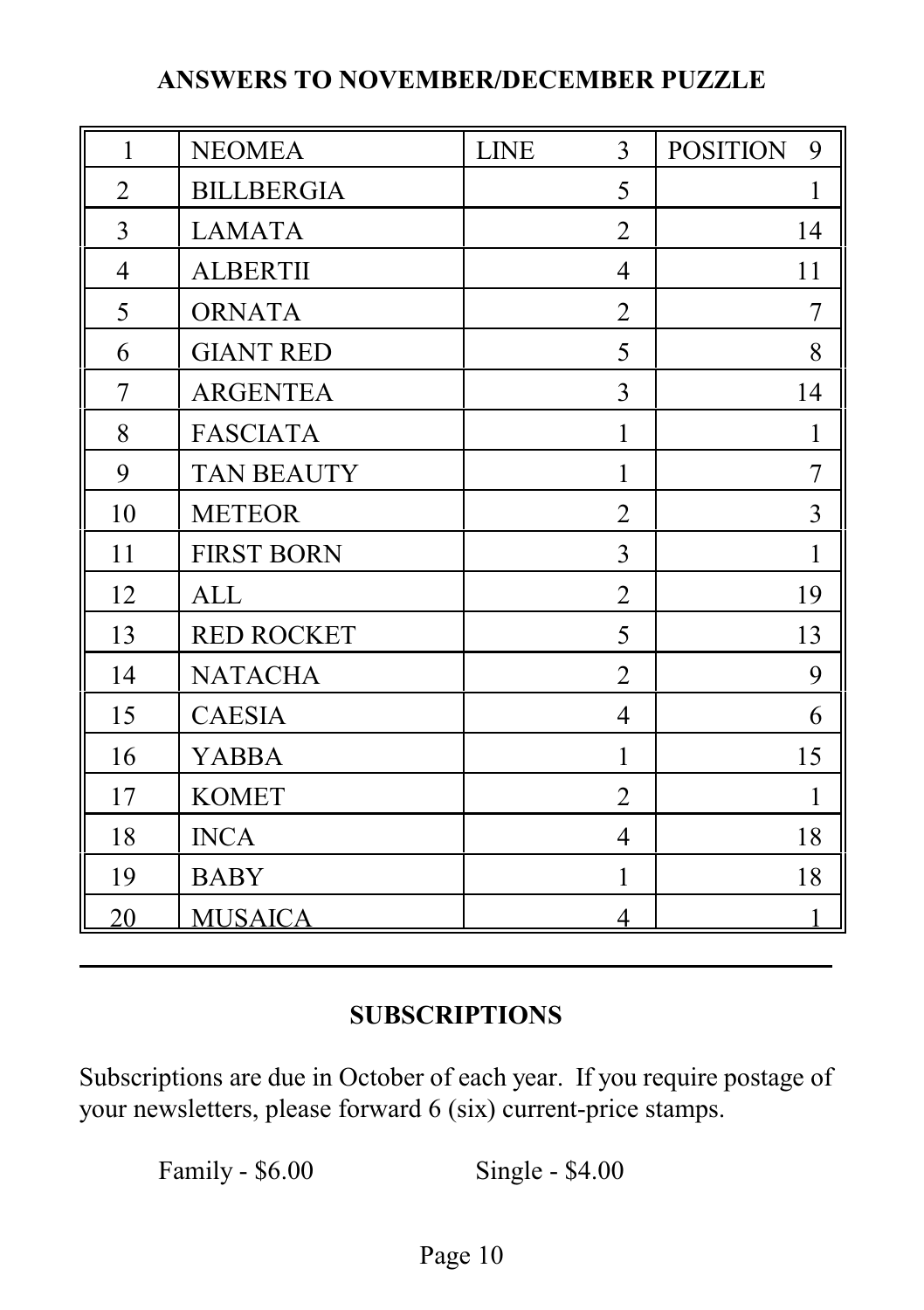#### **ANSWERS TO NOVEMBER/DECEMBER PUZZLE**

| $\mathbf{1}$    | <b>NEOMEA</b>     | <b>LINE</b> | 3              | <b>POSITION</b><br>9 |
|-----------------|-------------------|-------------|----------------|----------------------|
| $\overline{2}$  | <b>BILLBERGIA</b> |             | 5              | $\mathbf{1}$         |
| 3               | <b>LAMATA</b>     |             | $\overline{2}$ | 14                   |
| $\overline{4}$  | <b>ALBERTII</b>   |             | $\overline{4}$ | 11                   |
| 5               | <b>ORNATA</b>     |             | $\overline{2}$ | 7                    |
| 6               | <b>GIANT RED</b>  |             | 5              | 8                    |
| $\overline{7}$  | <b>ARGENTEA</b>   |             | 3              | 14                   |
| 8               | <b>FASCIATA</b>   |             | $\mathbf{1}$   | 1                    |
| 9               | <b>TAN BEAUTY</b> |             | 1              | 7                    |
| 10              | <b>METEOR</b>     |             | $\overline{2}$ | $\overline{3}$       |
| 11              | <b>FIRST BORN</b> |             | 3              | $\mathbf{1}$         |
| 12              | <b>ALL</b>        |             | $\overline{2}$ | 19                   |
| 13              | <b>RED ROCKET</b> |             | 5              | 13                   |
| 14              | <b>NATACHA</b>    |             | $\overline{2}$ | 9                    |
| 15              | <b>CAESIA</b>     |             | $\overline{4}$ | 6                    |
| 16              | <b>YABBA</b>      |             | $\mathbf{1}$   | 15                   |
| 17              | <b>KOMET</b>      |             | $\overline{2}$ | 1                    |
| 18              | <b>INCA</b>       |             | $\overline{4}$ | 18                   |
| 19              | <b>BABY</b>       |             | $\mathbf{1}$   | 18                   |
| $\overline{20}$ | <b>MUSAICA</b>    |             | 4              |                      |

#### **SUBSCRIPTIONS**

Subscriptions are due in October of each year. If you require postage of your newsletters, please forward 6 (six) current-price stamps.

Family - \$6.00 Single - \$4.00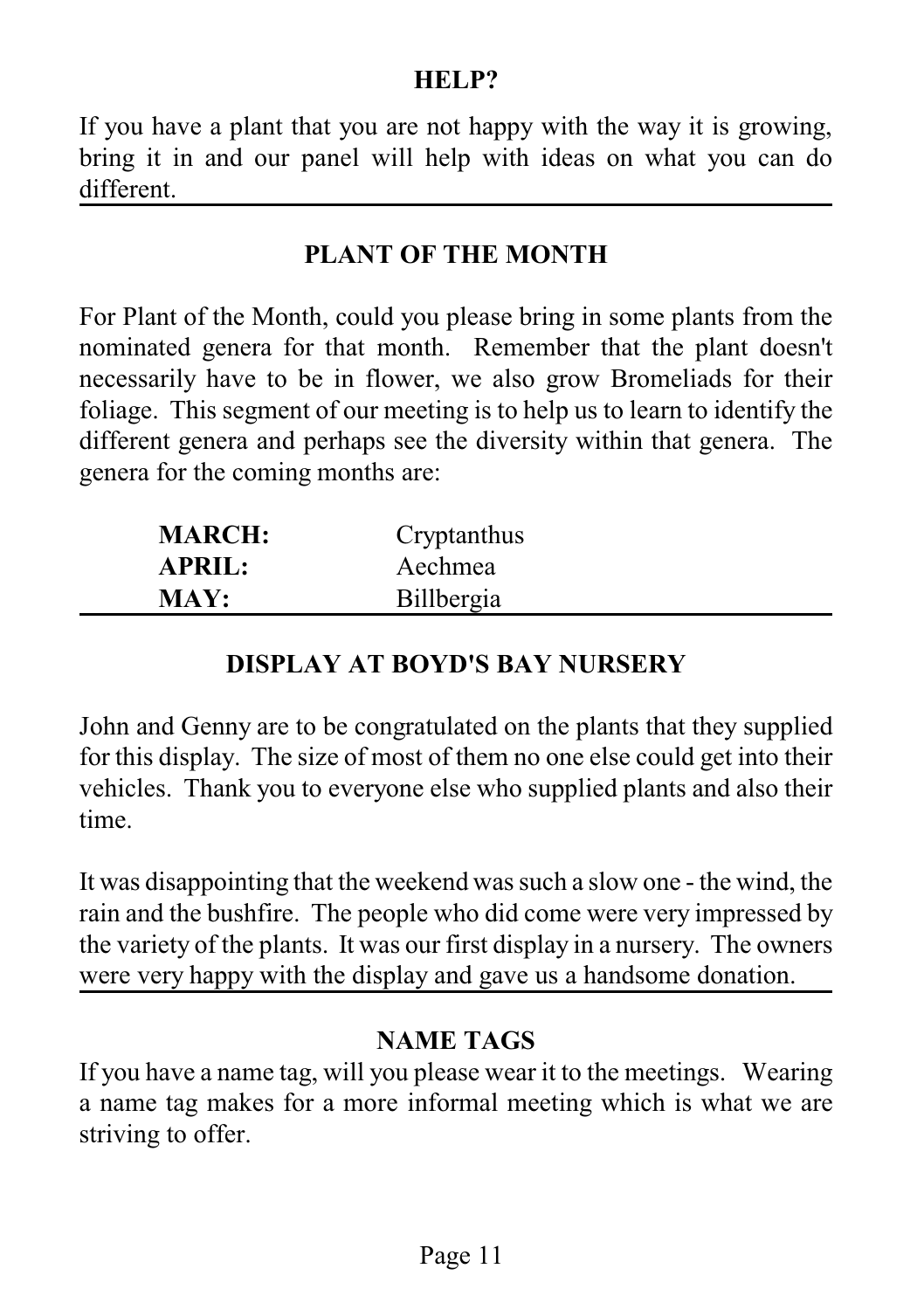#### **HELP?**

If you have a plant that you are not happy with the way it is growing, bring it in and our panel will help with ideas on what you can do different.

#### **PLANT OF THE MONTH**

For Plant of the Month, could you please bring in some plants from the nominated genera for that month. Remember that the plant doesn't necessarily have to be in flower, we also grow Bromeliads for their foliage. This segment of our meeting is to help us to learn to identify the different genera and perhaps see the diversity within that genera. The genera for the coming months are:

| <b>MARCH:</b> | Cryptanthus |
|---------------|-------------|
| <b>APRIL:</b> | Aechmea     |
| <b>MAY:</b>   | Billbergia  |

#### **DISPLAY AT BOYD'S BAY NURSERY**

John and Genny are to be congratulated on the plants that they supplied for this display. The size of most of them no one else could get into their vehicles. Thank you to everyone else who supplied plants and also their time.

It was disappointing that the weekend was such a slow one - the wind, the rain and the bushfire. The people who did come were very impressed by the variety of the plants. It was our first display in a nursery. The owners were very happy with the display and gave us a handsome donation.

#### **NAME TAGS**

If you have a name tag, will you please wear it to the meetings. Wearing a name tag makes for a more informal meeting which is what we are striving to offer.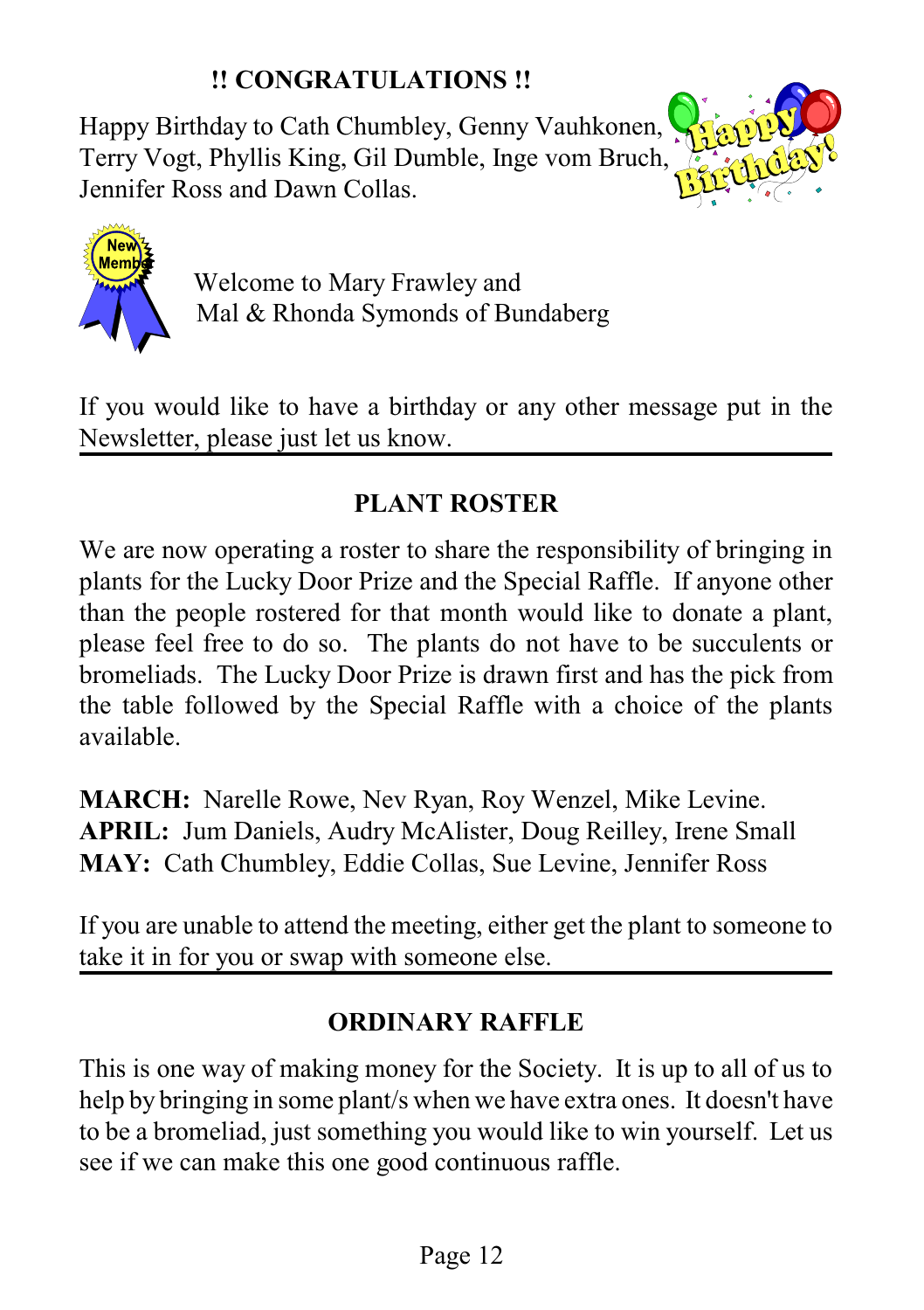## **!! CONGRATULATIONS !!**

Happy Birthday to Cath Chumbley, Genny Vauhkonen, Terry Vogt, Phyllis King, Gil Dumble, Inge vom Bruch, Jennifer Ross and Dawn Collas.





Welcome to Mary Frawley and Mal & Rhonda Symonds of Bundaberg

If you would like to have a birthday or any other message put in the Newsletter, please just let us know.

# **PLANT ROSTER**

We are now operating a roster to share the responsibility of bringing in plants for the Lucky Door Prize and the Special Raffle. If anyone other than the people rostered for that month would like to donate a plant, please feel free to do so. The plants do not have to be succulents or bromeliads. The Lucky Door Prize is drawn first and has the pick from the table followed by the Special Raffle with a choice of the plants available.

**MARCH:** Narelle Rowe, Nev Ryan, Roy Wenzel, Mike Levine. **APRIL:** Jum Daniels, Audry McAlister, Doug Reilley, Irene Small **MAY:** Cath Chumbley, Eddie Collas, Sue Levine, Jennifer Ross

If you are unable to attend the meeting, either get the plant to someone to take it in for you or swap with someone else.

# **ORDINARY RAFFLE**

This is one way of making money for the Society. It is up to all of us to help by bringing in some plant/s when we have extra ones. It doesn't have to be a bromeliad, just something you would like to win yourself. Let us see if we can make this one good continuous raffle.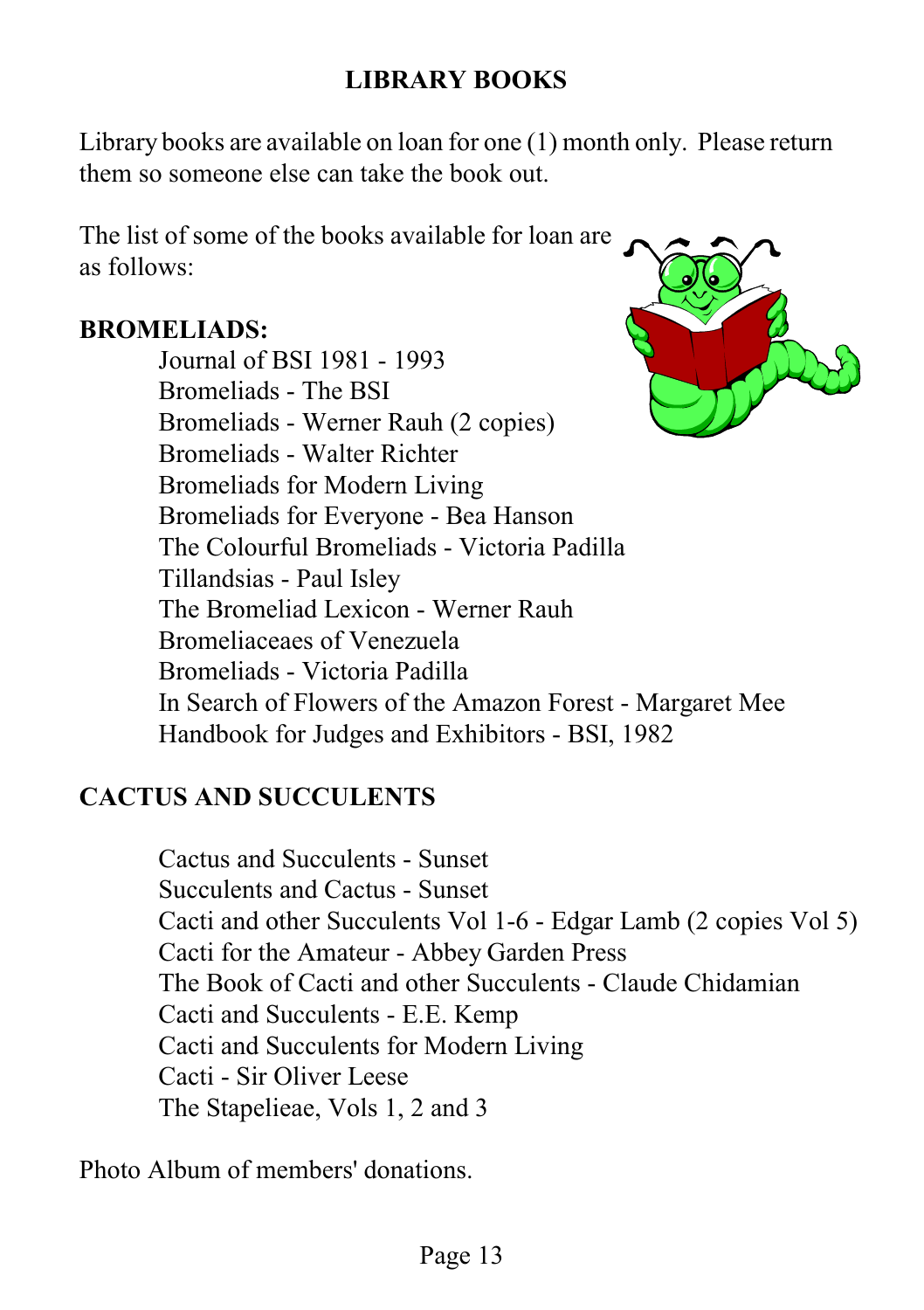# **LIBRARY BOOKS**

Library books are available on loan for one (1) month only. Please return them so someone else can take the book out.

The list of some of the books available for loan are as follows:

Journal of BSI 1981 - 1993

#### **BROMELIADS:**

Bromeliads - The BSI Bromeliads - Werner Rauh (2 copies) Bromeliads - Walter Richter Bromeliads for Modern Living Bromeliads for Everyone - Bea Hanson The Colourful Bromeliads - Victoria Padilla Tillandsias - Paul Isley The Bromeliad Lexicon - Werner Rauh Bromeliaceaes of Venezuela Bromeliads - Victoria Padilla In Search of Flowers of the Amazon Forest - Margaret Mee Handbook for Judges and Exhibitors - BSI, 1982

# **CACTUS AND SUCCULENTS**

Cactus and Succulents - Sunset Succulents and Cactus - Sunset Cacti and other Succulents Vol 1-6 - Edgar Lamb (2 copies Vol 5) Cacti for the Amateur - Abbey Garden Press The Book of Cacti and other Succulents - Claude Chidamian Cacti and Succulents - E.E. Kemp Cacti and Succulents for Modern Living Cacti - Sir Oliver Leese The Stapelieae, Vols 1, 2 and 3

Photo Album of members' donations.